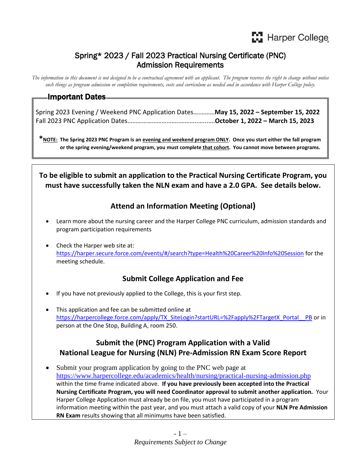## Spring\* 2023 / Fall 2023 Practical Nursing Certificate (PNC) Admission Requirements

*The information in this document is not designed to be a contractual agreement with an applicant. The program reserves the right to change without notice such things as program admission or completion requirements, costs and curriculum as needed and in accordance with Harper College policy.*

### Important Dates

Spring 2023 Evening / Weekend PNC Application Dates….………**May 15, 2022 – September 15, 2022** Fall 2023 PNC Application Dates…………………………..………..…...….**October 1, 2022 – March 15, 2023**

**\*NOTE: The Spring 2023 PNC Program is an evening and weekend program ONLY. Once you start either the fall program or the spring evening/weekend program, you must complete that cohort. You cannot move between programs.** 

**To be eligible to submit an application to the Practical Nursing Certificate Program, you must have successfully taken the NLN exam and have a 2.0 GPA. See details below.**

## **Attend an Information Meeting (Optional)**

- Learn more about the nursing career and the Harper College PNC curriculum, admission standards and program participation requirements
- Check the Harper web site at: <https://harper.secure.force.com/events/#/search?type=Health%20Career%20Info%20Session> for the meeting schedule.

## **Submit College Application and Fee**

- If you have not previously applied to the College, this is your first step.
- This application and fee can be submitted online at [https://harpercollege.force.com/apply/TX\\_SiteLogin?startURL=%2Fapply%2FTargetX\\_Portal\\_\\_PB](https://harpercollege.force.com/apply/TX_SiteLogin?startURL=%2Fapply%2FTargetX_Portal__PB) or in person at the One Stop, Building A, room 250.

## **Submit the (PNC) Program Application with a Valid National League for Nursing (NLN) Pre-Admission RN Exam Score Report**

• Submit your program application by going to the PNC web page at <https://www.harpercollege.edu/academics/health/nursing/practical-nursing-admission.php> within the time frame indicated above. **If you have previously been accepted into the Practical Nursing Certificate Program, you will need Coordinator approval to submit another application.** Your Harper College Application must already be on file, you must have participated in a program information meeting within the past year, and you must attach a valid copy of your **NLN Pre Admission RN Exam** results showing that all minimums have been satisfied.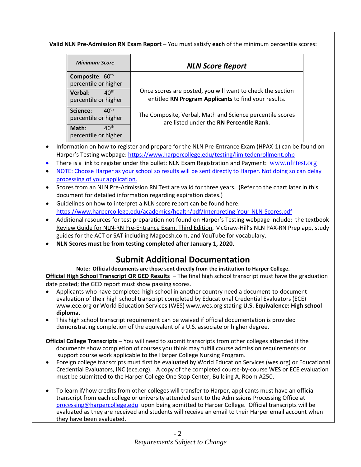#### **Valid NLN Pre-Admission RN Exam Report** – You must satisfy **each** of the minimum percentile scores:

| <b>Minimum Score</b>                                 | <b>NLN Score Report</b>                                                                                            |
|------------------------------------------------------|--------------------------------------------------------------------------------------------------------------------|
| Composite: 60th<br>percentile or higher              |                                                                                                                    |
| 40 <sup>th</sup><br>Verbal:<br>percentile or higher  | Once scores are posted, you will want to check the section<br>entitled RN Program Applicants to find your results. |
| $40^{\text{th}}$<br>Science:<br>percentile or higher | The Composite, Verbal, Math and Science percentile scores<br>are listed under the RN Percentile Rank.              |
| 40 <sup>th</sup><br>Math:<br>percentile or higher    |                                                                                                                    |

- Information on how to register and prepare for the NLN Pre-Entrance Exam (HPAX-1) can be found on Harper's Testing webpage: <https://www.harpercollege.edu/testing/limitedenrollment.php>
- There is a link to register under the bullet: NLN Exam Registration and Payment: [www.nlntest.org](http://www.nlntest.org/)
- NOTE: Choose Harper as your school so results will be sent directly to Harper. Not doing so can delay processing of your application.
- Scores from an NLN Pre-Admission RN Test are valid for three years. (Refer to the chart later in this document for detailed information regarding expiration dates.)
- Guidelines on how to interpret a NLN score report can be found here: <https://www.harpercollege.edu/academics/health/pdf/Interpreting-Your-NLN-Scores.pdf>
- Additional resources for test preparation not found on Harper's Testing webpage include: the textbook Review Guide for NLN-RN Pre-Entrance Exam, Third Edition, McGraw-Hill's NLN PAX-RN Prep app, study guides for the ACT or SAT including Magoosh.com, and YouTube for vocabulary.
- **NLN Scores must be from testing completed after January 1, 2020.**

# **Submit Additional Documentation**

**Note: Official documents are those sent directly from the institution to Harper College.**

**Official High School Transcript OR GED Results** – The final high school transcript must have the graduation date posted; the GED report must show passing scores.

- Applicants who have completed high school in another country need a document-to-document evaluation of their high school transcript completed by Educational Credential Evaluators (ECE) www.ece.org **or** World Education Services (WES) www.wes.org stating **U.S. Equivalence: High school diploma.**
- This high school transcript requirement can be waived if official documentation is provided demonstrating completion of the equivalent of a U.S. associate or higher degree.
- **Official College Transcripts** You will need to submit transcripts from other colleges attended if the documents show completion of courses you think may fulfill course admission requirements or support course work applicable to the Harper College Nursing Program.
- Foreign college transcripts must first be evaluated by World Education Services (wes.org) or Educational Credential Evaluators, INC (ece.org). A copy of the completed course-by-course WES or ECE evaluation must be submitted to the Harper College One Stop Center, Building A, Room A250.
- To learn if/how credits from other colleges will transfer to Harper, applicants must have an official transcript from each college or university attended sent to the Admissions Processing Office at processing[@harpercollege.edu](mailto:processing@harpercollege.edu) upon being admitted to Harper College. Official transcripts will be evaluated as they are received and students will receive an email to their Harper email account when they have been evaluated.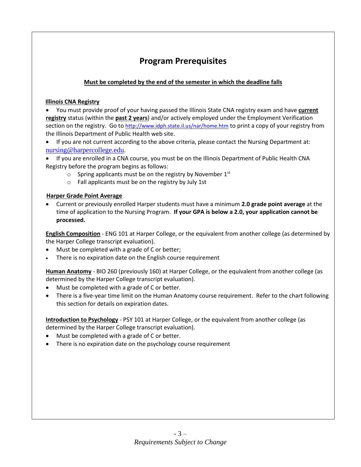# **Program Prerequisites**

#### **Must be completed by the end of the semester in which the deadline falls**

#### **Illinois CNA Registry**

• You must provide proof of your having passed the Illinois State CNA registry exam and have **current registry** status (within the **past 2 years**) and/or actively employed under the Employment Verification section on the registry. Go to <http://www.idph.state.il.us/nar/home.htm> to print a copy of your registry from the Illinois Department of Public Health web site.

- If you are not current according to the above criteria, please contact the Nursing Department at: [nursing@harpercollege.edu.](mailto:nursing@harpercollege.edu)
- If you are enrolled in a CNA course, you must be on the Illinois Department of Public Health CNA Registry before the program begins as follows:
	- $\circ$  Spring applicants must be on the registry by November 1st
	- o Fall applicants must be on the registry by July 1st

#### **Harper Grade Point Average**

• Current or previously enrolled Harper students must have a minimum **2.0 grade point average** at the time of application to the Nursing Program. **If your GPA is below a 2.0, your application cannot be processed.**

**English Composition** - ENG 101 at Harper College, or the equivalent from another college (as determined by the Harper College transcript evaluation).

- Must be completed with a grade of C or better;
- There is no expiration date on the English course requirement

**Human Anatomy** - BIO 260 (previously 160) at Harper College, or the equivalent from another college (as determined by the Harper College transcript evaluation).

- Must be completed with a grade of C or better.
- There is a five-year time limit on the Human Anatomy course requirement. Refer to the chart following this section for details on expiration dates.

**Introduction to Psychology** - PSY 101 at Harper College, or the equivalent from another college (as determined by the Harper College transcript evaluation).

- Must be completed with a grade of C or better.
- There is no expiration date on the psychology course requirement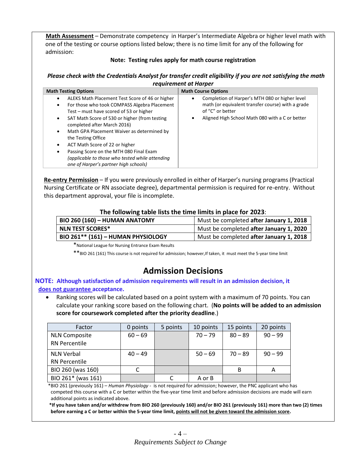**Math Assessment** – Demonstrate competency in Harper's Intermediate Algebra or higher level math with one of the testing or course options listed below; there is no time limit for any of the following for admission:

#### **Note: Testing rules apply for math course registration**

#### *Please check with the Credentials Analyst for transfer credit eligibility if you are not satisfying the math requirement at Harper*

| <b>Math Testing Options</b><br><b>Math Course Options</b><br>Completion of Harper's MTH 080 or higher level<br>ALEKS Math Placement Test Score of 46 or higher<br>$\bullet$<br>$\bullet$<br>math (or equivalent transfer course) with a grade<br>For those who took COMPASS Algebra Placement<br>$\bullet$<br>of "C" or better<br>Test – must have scored of 53 or higher<br>Aligned High School Math 080 with a C or better<br>SAT Math Score of 530 or higher (from testing<br>$\bullet$<br>completed after March 2016)<br>Math GPA Placement Waiver as determined by<br>$\bullet$<br>the Testing Office<br>ACT Math Score of 22 or higher<br>٠<br>Passing Score on the MTH 080 Final Exam<br>(applicable to those who tested while attending |                                       |  |  |  |  |  |
|-------------------------------------------------------------------------------------------------------------------------------------------------------------------------------------------------------------------------------------------------------------------------------------------------------------------------------------------------------------------------------------------------------------------------------------------------------------------------------------------------------------------------------------------------------------------------------------------------------------------------------------------------------------------------------------------------------------------------------------------------|---------------------------------------|--|--|--|--|--|
|                                                                                                                                                                                                                                                                                                                                                                                                                                                                                                                                                                                                                                                                                                                                                 |                                       |  |  |  |  |  |
|                                                                                                                                                                                                                                                                                                                                                                                                                                                                                                                                                                                                                                                                                                                                                 | one of Harper's partner high schools) |  |  |  |  |  |

 **Re-entry Permission** – If you were previously enrolled in either of Harper's nursing programs (Practical Nursing Certificate or RN associate degree), departmental permission is required for re-entry. Without this department approval, your file is incomplete.

#### **The following table lists the time limits in place for 2023**:

| <b>BIO 260 (160) - HUMAN ANATOMY</b> | Must be completed after January 1, 2018 |
|--------------------------------------|-----------------------------------------|
| <b>NLN TEST SCORES*</b>              | Must be completed after January 1, 2020 |
| BIO 261** (161) - HUMAN PHYSIOLOGY   | Must be completed after January 1, 2018 |

\*National League for Nursing Entrance Exam Results

\*\*BIO 261 (161) This course is not required for admission; however,If taken, it must meet the 5-year time limit

# **Admission Decisions**

#### **NOTE: Although satisfaction of admission requirements will result in an admission decision, it does not guarantee acceptance.**

• Ranking scores will be calculated based on a point system with a maximum of 70 points. You can calculate your ranking score based on the following chart. (**No points will be added to an admission score for coursework completed after the priority deadline**.)

| Factor               | 0 points  | 5 points | 10 points | 15 points | 20 points    |
|----------------------|-----------|----------|-----------|-----------|--------------|
| <b>NLN Composite</b> | $60 - 69$ |          | $70 - 79$ | $80 - 89$ | $90 - 99$    |
| <b>RN Percentile</b> |           |          |           |           |              |
| <b>NLN Verbal</b>    | $40 - 49$ |          | $50 - 69$ | $70 - 89$ | $90 - 99$    |
| <b>RN Percentile</b> |           |          |           |           |              |
| BIO 260 (was 160)    |           |          |           | B         | $\mathsf{A}$ |
| BIO 261* (was 161)   |           |          | A or B    |           |              |

 \*BIO 261 (previously 161) – *Human Physiology -* is not required for admission; however, the PNC applicant who has competed this course with a C or better within the five-year time limit and before admission decisions are made will earn additional points as indicated above.

 **\*If you have taken and/or withdrew from BIO 260 (previously 160) and/or BIO 261 (previously 161) more than two (2) times before earning a C or better within the 5-year time limit, points will not be given toward the admission score.**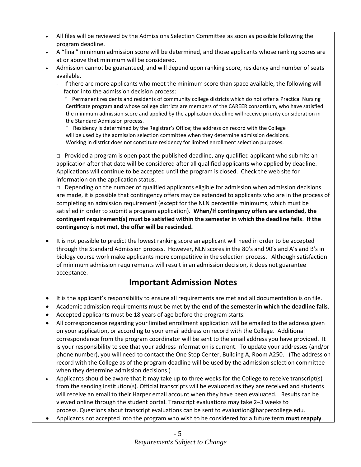- All files will be reviewed by the Admissions Selection Committee as soon as possible following the program deadline.
- A "final" minimum admission score will be determined, and those applicants whose ranking scores are at or above that minimum will be considered.
- Admission cannot be guaranteed, and will depend upon ranking score, residency and number of seats available.
	- If there are more applicants who meet the minimum score than space available, the following will factor into the admission decision process:

 ° Permanent residents and residents of community college districts which do not offer a Practical Nursing Certificate program **and** whose college districts are members of the CAREER consortium, who have satisfied the minimum admission score and applied by the application deadline will receive priority consideration in the Standard Admission process.

Residency is determined by the Registrar's Office; the address on record with the College will be used by the admission selection committee when they determine admission decisions. Working in district does not constitute residency for limited enrollment selection purposes.

 $\Box$  Provided a program is open past the published deadline, any qualified applicant who submits an application after that date will be considered after all qualified applicants who applied by deadline. Applications will continue to be accepted until the program is closed. Check the web site for information on the application status.

 $\Box$  Depending on the number of qualified applicants eligible for admission when admission decisions are made, it is possible that contingency offers may be extended to applicants who are in the process of completing an admission requirement (except for the NLN percentile minimums, which must be satisfied in order to submit a program application). **When/If contingency offers are extended, the contingent requirement(s) must be satisfied within the semester in which the deadline falls**. **If the contingency is not met, the offer will be rescinded.**

• It is not possible to predict the lowest ranking score an applicant will need in order to be accepted through the Standard Admission process. However, NLN scores in the 80's and 90's and A's and B's in biology course work make applicants more competitive in the selection process. Although satisfaction of minimum admission requirements will result in an admission decision, it does not guarantee acceptance.

# **Important Admission Notes**

- It is the applicant's responsibility to ensure all requirements are met and all documentation is on file.
- Academic admission requirements must be met by the **end of the semester in which the deadline falls**.
- Accepted applicants must be 18 years of age before the program starts.
- All correspondence regarding your limited enrollment application will be emailed to the address given on your application, or according to your email address on record with the College. Additional correspondence from the program coordinator will be sent to the email address you have provided. It is your responsibility to see that your address information is current. To update your addresses (and/or phone number), you will need to contact the One Stop Center, Building A, Room A250. (The address on record with the College as of the program deadline will be used by the admission selection committee when they determine admission decisions.)
- Applicants should be aware that it may take up to three weeks for the College to receive transcript(s) from the sending institution(s). Official transcripts will be evaluated as they are received and students will receive an email to their Harper email account when they have been evaluated. Results can be viewed online through the student portal. Transcript evaluations may take 2–3 weeks to process. Questions about transcript evaluations can be sent t[o evaluation@harpercollege.edu.](mailto:evaluation@harpercollege.edu)
- Applicants not accepted into the program who wish to be considered for a future term **must reapply**.